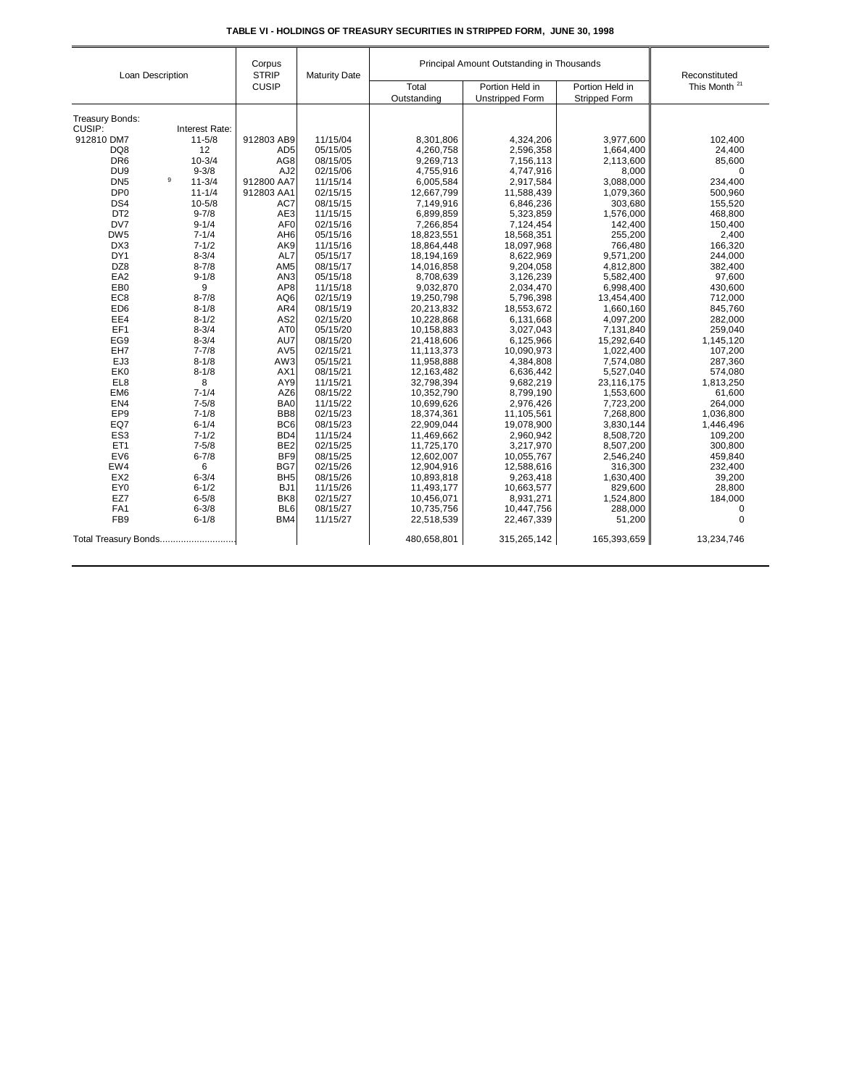| Loan Description     |                      | Corpus<br><b>STRIP</b><br><b>CUSIP</b> | <b>Maturity Date</b> | Principal Amount Outstanding in Thousands |                        |                      | Reconstituted            |
|----------------------|----------------------|----------------------------------------|----------------------|-------------------------------------------|------------------------|----------------------|--------------------------|
|                      |                      |                                        |                      | Total                                     | Portion Held in        | Portion Held in      | This Month <sup>21</sup> |
|                      |                      |                                        |                      | Outstanding                               | <b>Unstripped Form</b> | <b>Stripped Form</b> |                          |
| Treasury Bonds:      |                      |                                        |                      |                                           |                        |                      |                          |
| CUSIP:               | Interest Rate:       |                                        |                      |                                           |                        |                      |                          |
| 912810 DM7           | $11 - 5/8$           | 912803 AB9                             | 11/15/04             | 8,301,806                                 | 4,324,206              | 3,977,600            | 102,400                  |
| DQ8                  | 12                   | AD <sub>5</sub>                        | 05/15/05             | 4,260,758                                 | 2,596,358              | 1,664,400            | 24,400                   |
| DR <sub>6</sub>      | $10 - 3/4$           | AG8                                    | 08/15/05             | 9,269,713                                 | 7,156,113              | 2,113,600            | 85,600                   |
| DU <sub>9</sub>      | $9 - 3/8$            | AJ <sub>2</sub>                        | 02/15/06             | 4,755,916                                 | 4,747,916              | 8,000                | $\mathbf 0$              |
| DN <sub>5</sub>      | $_{9}$<br>$11 - 3/4$ | 912800 AA7                             | 11/15/14             | 6,005,584                                 | 2,917,584              | 3,088,000            | 234,400                  |
| DP <sub>0</sub>      | $11 - 1/4$           | 912803 AA1                             | 02/15/15             | 12,667,799                                | 11,588,439             | 1,079,360            | 500,960                  |
| DS4                  | $10 - 5/8$           | AC7                                    | 08/15/15             | 7,149,916                                 | 6,846,236              | 303,680              | 155,520                  |
| DT <sub>2</sub>      | $9 - 7/8$            | AE3                                    | 11/15/15             | 6,899,859                                 | 5,323,859              | 1,576,000            | 468,800                  |
| DV7                  | $9 - 1/4$            | AF <sub>0</sub>                        | 02/15/16             | 7,266,854                                 | 7,124,454              | 142,400              | 150,400                  |
| DW <sub>5</sub>      | $7 - 1/4$            | AH <sub>6</sub>                        | 05/15/16             | 18,823,551                                | 18,568,351             | 255,200              | 2,400                    |
| DX3                  | $7 - 1/2$            | AK9                                    | 11/15/16             | 18,864,448                                | 18,097,968             | 766,480              | 166,320                  |
| DY1                  | $8 - 3/4$            | AL7                                    | 05/15/17             | 18,194,169                                | 8,622,969              | 9,571,200            | 244,000                  |
| DZ8                  | $8 - 7/8$            | AM <sub>5</sub>                        | 08/15/17             | 14,016,858                                | 9,204,058              | 4,812,800            | 382,400                  |
| EA <sub>2</sub>      | $9 - 1/8$            | AN <sub>3</sub>                        | 05/15/18             | 8,708,639                                 | 3,126,239              | 5,582,400            | 97,600                   |
| EB <sub>0</sub>      | 9                    | AP8                                    | 11/15/18             | 9,032,870                                 | 2,034,470              | 6,998,400            | 430,600                  |
| EC <sub>8</sub>      | $8 - 7/8$            | AQ6                                    | 02/15/19             | 19,250,798                                | 5,796,398              | 13,454,400           | 712,000                  |
| ED <sub>6</sub>      | $8 - 1/8$            | AR4                                    | 08/15/19             | 20,213,832                                | 18,553,672             | 1,660,160            | 845,760                  |
| EE4                  | $8 - 1/2$            | AS <sub>2</sub>                        | 02/15/20             | 10,228,868                                | 6,131,668              | 4,097,200            | 282,000                  |
| EF1                  | $8 - 3/4$            | AT <sub>0</sub>                        | 05/15/20             | 10,158,883                                | 3,027,043              | 7,131,840            | 259,040                  |
| EG9                  | $8 - 3/4$            | AU7                                    | 08/15/20             | 21,418,606                                | 6,125,966              | 15,292,640           | 1,145,120                |
| EH7                  | $7 - 7/8$            | AV <sub>5</sub>                        | 02/15/21             | 11,113,373                                | 10,090,973             | 1,022,400            | 107,200                  |
| EJ3                  | $8 - 1/8$            | AW3                                    | 05/15/21             | 11,958,888                                | 4,384,808              | 7,574,080            | 287,360                  |
| EK <sub>0</sub>      | $8 - 1/8$            | AX1                                    | 08/15/21             | 12,163,482                                | 6,636,442              | 5,527,040            | 574,080                  |
| EL8                  | 8                    | AY9                                    | 11/15/21             | 32,798,394                                | 9,682,219              | 23,116,175           | 1,813,250                |
| EM <sub>6</sub>      | $7 - 1/4$            | AZ6                                    | 08/15/22             | 10,352,790                                | 8,799,190              | 1,553,600            | 61,600                   |
| EN4                  | $7 - 5/8$            | BA0                                    | 11/15/22             | 10,699,626                                | 2,976,426              | 7,723,200            | 264,000                  |
| EP <sub>9</sub>      | $7 - 1/8$            | BB8                                    | 02/15/23             | 18,374,361                                | 11,105,561             | 7,268,800            | 1,036,800                |
| EQ7                  | $6 - 1/4$            | BC <sub>6</sub>                        | 08/15/23             | 22,909,044                                | 19,078,900             | 3,830,144            | 1,446,496                |
| ES <sub>3</sub>      | $7 - 1/2$            | BD4                                    | 11/15/24             | 11,469,662                                | 2,960,942              | 8,508,720            | 109,200                  |
| ET <sub>1</sub>      | $7 - 5/8$            | BE <sub>2</sub>                        | 02/15/25             | 11,725,170                                | 3,217,970              | 8,507,200            | 300,800                  |
| EV6                  | $6 - 7/8$            | BF <sub>9</sub>                        | 08/15/25             | 12,602,007                                | 10,055,767             | 2,546,240            | 459,840                  |
| EW4                  | 6                    | BG7                                    | 02/15/26             | 12,904,916                                | 12,588,616             | 316,300              | 232,400                  |
| EX <sub>2</sub>      | $6 - 3/4$            | BH <sub>5</sub>                        | 08/15/26             | 10,893,818                                | 9,263,418              | 1,630,400            | 39,200                   |
| EY <sub>0</sub>      | $6 - 1/2$            | BJ <sub>1</sub>                        | 11/15/26             | 11,493,177                                | 10,663,577             | 829,600              | 28,800                   |
| EZ7                  | $6 - 5/8$            | BK <sub>8</sub>                        | 02/15/27             | 10,456,071                                | 8,931,271              | 1,524,800            | 184,000                  |
| FA1                  | $6 - 3/8$            | BL <sub>6</sub>                        | 08/15/27             | 10,735,756                                | 10,447,756             | 288,000              | $\mathbf 0$              |
| FB <sub>9</sub>      | $6 - 1/8$            | BM4                                    | 11/15/27             | 22,518,539                                | 22,467,339             | 51,200               | $\mathbf 0$              |
| Total Treasury Bonds |                      |                                        |                      | 480,658,801                               | 315,265,142            | 165,393,659          | 13,234,746               |